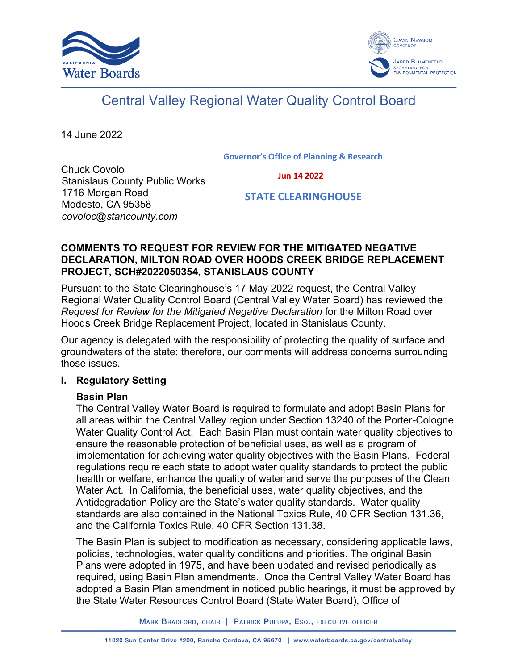



# Central Valley Regional Water Quality Control Board

14 June 2022

#### **Governor's Office of Planning & Research**

 **Jun 14 2022**

Chuck Covolo Stanislaus County Public Works 1716 Morgan Road Modesto, CA 95358 *covoloc@stancounty.com*

## **STATE CLEARINGHOUSE**

## **COMMENTS TO REQUEST FOR REVIEW FOR THE MITIGATED NEGATIVE DECLARATION, MILTON ROAD OVER HOODS CREEK BRIDGE REPLACEMENT PROJECT, SCH#2022050354, STANISLAUS COUNTY**

Pursuant to the State Clearinghouse's 17 May 2022 request, the Central Valley Regional Water Quality Control Board (Central Valley Water Board) has reviewed the *Request for Review for the Mitigated Negative Declaration* for the Milton Road over Hoods Creek Bridge Replacement Project, located in Stanislaus County.

Our agency is delegated with the responsibility of protecting the quality of surface and groundwaters of the state; therefore, our comments will address concerns surrounding those issues.

## **I. Regulatory Setting**

## **Basin Plan**

The Central Valley Water Board is required to formulate and adopt Basin Plans for all areas within the Central Valley region under Section 13240 of the Porter-Cologne Water Quality Control Act. Each Basin Plan must contain water quality objectives to ensure the reasonable protection of beneficial uses, as well as a program of implementation for achieving water quality objectives with the Basin Plans. Federal regulations require each state to adopt water quality standards to protect the public health or welfare, enhance the quality of water and serve the purposes of the Clean Water Act. In California, the beneficial uses, water quality objectives, and the Antidegradation Policy are the State's water quality standards. Water quality standards are also contained in the National Toxics Rule, 40 CFR Section 131.36, and the California Toxics Rule, 40 CFR Section 131.38.

The Basin Plan is subject to modification as necessary, considering applicable laws, policies, technologies, water quality conditions and priorities. The original Basin Plans were adopted in 1975, and have been updated and revised periodically as required, using Basin Plan amendments. Once the Central Valley Water Board has adopted a Basin Plan amendment in noticed public hearings, it must be approved by the State Water Resources Control Board (State Water Board), Office of

MARK BRADFORD, CHAIR | PATRICK PULUPA, ESQ., EXECUTIVE OFFICER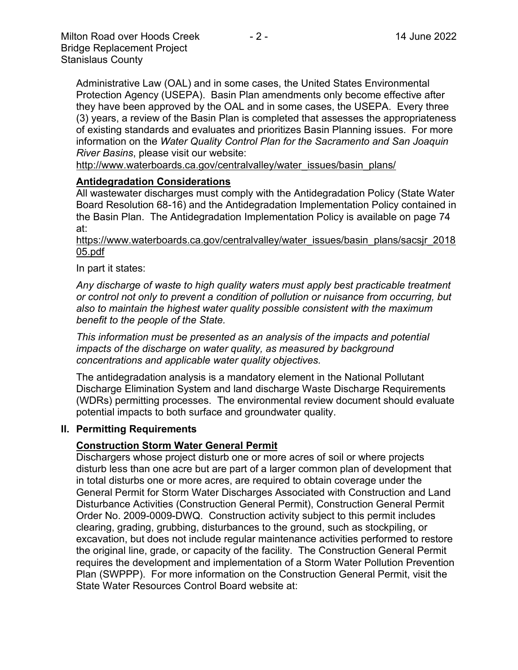Administrative Law (OAL) and in some cases, the United States Environmental Protection Agency (USEPA). Basin Plan amendments only become effective after they have been approved by the OAL and in some cases, the USEPA. Every three (3) years, a review of the Basin Plan is completed that assesses the appropriateness of existing standards and evaluates and prioritizes Basin Planning issues. For more information on the *Water Quality Control Plan for the Sacramento and San Joaquin River Basins*, please visit our website:

[http://www.waterboards.ca.gov/centralvalley/water\\_issues/basin\\_plans/](http://www.waterboards.ca.gov/centralvalley/water_issues/basin_plans/)

## **Antidegradation Considerations**

All wastewater discharges must comply with the Antidegradation Policy (State Water Board Resolution 68-16) and the Antidegradation Implementation Policy contained in the Basin Plan. The Antidegradation Implementation Policy is available on page 74 at:

## https://www.waterboards.ca.gov/centralvalley/water\_issues/basin\_plans/sacsjr\_2018 05.pdf

## In part it states:

*Any discharge of waste to high quality waters must apply best practicable treatment or control not only to prevent a condition of pollution or nuisance from occurring, but also to maintain the highest water quality possible consistent with the maximum benefit to the people of the State.*

*This information must be presented as an analysis of the impacts and potential impacts of the discharge on water quality, as measured by background concentrations and applicable water quality objectives.*

The antidegradation analysis is a mandatory element in the National Pollutant Discharge Elimination System and land discharge Waste Discharge Requirements (WDRs) permitting processes. The environmental review document should evaluate potential impacts to both surface and groundwater quality.

## **II. Permitting Requirements**

## **Construction Storm Water General Permit**

Dischargers whose project disturb one or more acres of soil or where projects disturb less than one acre but are part of a larger common plan of development that in total disturbs one or more acres, are required to obtain coverage under the General Permit for Storm Water Discharges Associated with Construction and Land Disturbance Activities (Construction General Permit), Construction General Permit Order No. 2009-0009-DWQ. Construction activity subject to this permit includes clearing, grading, grubbing, disturbances to the ground, such as stockpiling, or excavation, but does not include regular maintenance activities performed to restore the original line, grade, or capacity of the facility. The Construction General Permit requires the development and implementation of a Storm Water Pollution Prevention Plan (SWPPP). For more information on the Construction General Permit, visit the State Water Resources Control Board website at: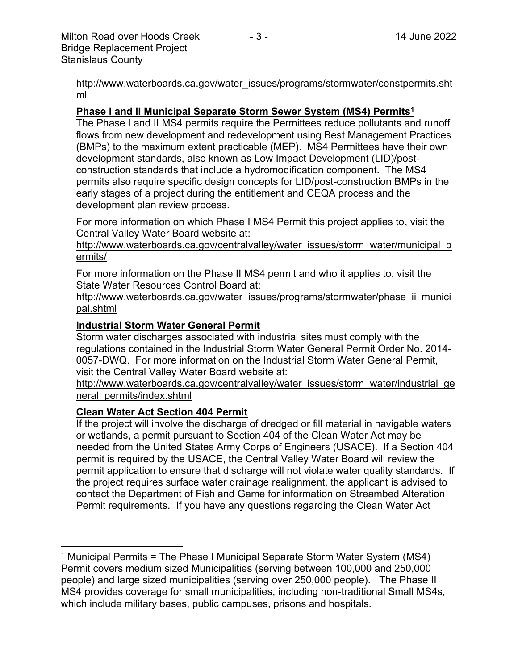[http://www.waterboards.ca.gov/water\\_issues/programs/stormwater/constpermits.sht](http://www.waterboards.ca.gov/water_issues/programs/stormwater/constpermits.shtml) [ml](http://www.waterboards.ca.gov/water_issues/programs/stormwater/constpermits.shtml)

## **Phase I and II Municipal Separate Storm Sewer System (MS4) Permits<sup>1</sup>**

The Phase I and II MS4 permits require the Permittees reduce pollutants and runoff flows from new development and redevelopment using Best Management Practices (BMPs) to the maximum extent practicable (MEP). MS4 Permittees have their own development standards, also known as Low Impact Development (LID)/postconstruction standards that include a hydromodification component. The MS4 permits also require specific design concepts for LID/post-construction BMPs in the early stages of a project during the entitlement and CEQA process and the development plan review process.

For more information on which Phase I MS4 Permit this project applies to, visit the Central Valley Water Board website at:

http://www.waterboards.ca.gov/centralvalley/water\_issues/storm\_water/municipal\_p ermits/

For more information on the Phase II MS4 permit and who it applies to, visit the State Water Resources Control Board at:

http://www.waterboards.ca.gov/water\_issues/programs/stormwater/phase\_ii\_munici pal.shtml

## **Industrial Storm Water General Permit**

Storm water discharges associated with industrial sites must comply with the regulations contained in the Industrial Storm Water General Permit Order No. 2014- 0057-DWQ. For more information on the Industrial Storm Water General Permit, visit the Central Valley Water Board website at:

http://www.waterboards.ca.gov/centralvalley/water\_issues/storm\_water/industrial\_ge neral\_permits/index.shtml

## **Clean Water Act Section 404 Permit**

If the project will involve the discharge of dredged or fill material in navigable waters or wetlands, a permit pursuant to Section 404 of the Clean Water Act may be needed from the United States Army Corps of Engineers (USACE). If a Section 404 permit is required by the USACE, the Central Valley Water Board will review the permit application to ensure that discharge will not violate water quality standards. If the project requires surface water drainage realignment, the applicant is advised to contact the Department of Fish and Game for information on Streambed Alteration Permit requirements. If you have any questions regarding the Clean Water Act

<sup>&</sup>lt;sup>1</sup> Municipal Permits = The Phase I Municipal Separate Storm Water System (MS4) Permit covers medium sized Municipalities (serving between 100,000 and 250,000 people) and large sized municipalities (serving over 250,000 people). The Phase II MS4 provides coverage for small municipalities, including non-traditional Small MS4s, which include military bases, public campuses, prisons and hospitals.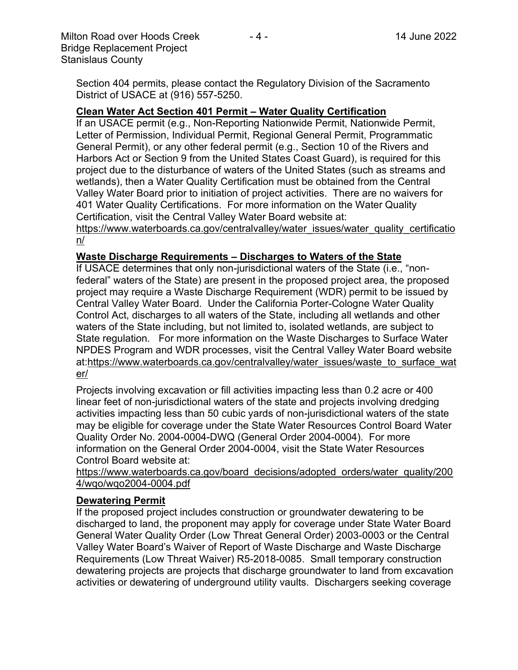Section 404 permits, please contact the Regulatory Division of the Sacramento District of USACE at (916) 557-5250.

#### **Clean Water Act Section 401 Permit – Water Quality Certification**

If an USACE permit (e.g., Non-Reporting Nationwide Permit, Nationwide Permit, Letter of Permission, Individual Permit, Regional General Permit, Programmatic General Permit), or any other federal permit (e.g., Section 10 of the Rivers and Harbors Act or Section 9 from the United States Coast Guard), is required for this project due to the disturbance of waters of the United States (such as streams and wetlands), then a Water Quality Certification must be obtained from the Central Valley Water Board prior to initiation of project activities. There are no waivers for 401 Water Quality Certifications. For more information on the Water Quality Certification, visit the Central Valley Water Board website at:

https://www.waterboards.ca.gov/centralvalley/water\_issues/water\_quality\_certificatio n/

#### **Waste Discharge Requirements – Discharges to Waters of the State**

If USACE determines that only non-jurisdictional waters of the State (i.e., "nonfederal" waters of the State) are present in the proposed project area, the proposed project may require a Waste Discharge Requirement (WDR) permit to be issued by Central Valley Water Board. Under the California Porter-Cologne Water Quality Control Act, discharges to all waters of the State, including all wetlands and other waters of the State including, but not limited to, isolated wetlands, are subject to State regulation. For more information on the Waste Discharges to Surface Water NPDES Program and WDR processes, visit the Central Valley Water Board website at:https://www.waterboards.ca.gov/centralvalley/water\_issues/waste\_to\_surface\_wat er/

Projects involving excavation or fill activities impacting less than 0.2 acre or 400 linear feet of non-jurisdictional waters of the state and projects involving dredging activities impacting less than 50 cubic yards of non-jurisdictional waters of the state may be eligible for coverage under the State Water Resources Control Board Water Quality Order No. 2004-0004-DWQ (General Order 2004-0004). For more information on the General Order 2004-0004, visit the State Water Resources Control Board website at:

https://www.waterboards.ca.gov/board\_decisions/adopted\_orders/water\_quality/200 4/wqo/wqo2004-0004.pdf

#### **Dewatering Permit**

If the proposed project includes construction or groundwater dewatering to be discharged to land, the proponent may apply for coverage under State Water Board General Water Quality Order (Low Threat General Order) 2003-0003 or the Central Valley Water Board's Waiver of Report of Waste Discharge and Waste Discharge Requirements (Low Threat Waiver) R5-2018-0085. Small temporary construction dewatering projects are projects that discharge groundwater to land from excavation activities or dewatering of underground utility vaults. Dischargers seeking coverage